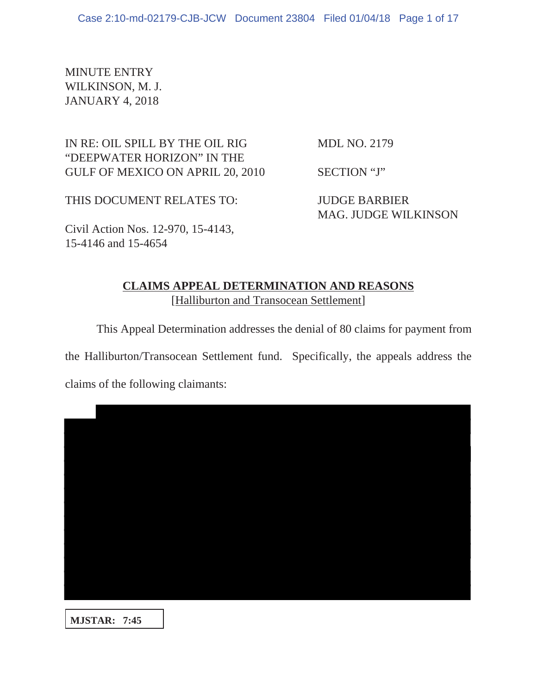MINUTE ENTRY WILKINSON, M. J. JANUARY 4, 2018

IN RE: OIL SPILL BY THE OIL RIG MDL NO. 2179 "DEEPWATER HORIZON" IN THE

GULF OF MEXICO ON APRIL 20, 2010 SECTION "J"

THIS DOCUMENT RELATES TO: JUDGE BARBIER

MAG. JUDGE WILKINSON

Civil Action Nos. 12-970, 15-4143, 15-4146 and 15-4654

## **CLAIMS APPEAL DETERMINATION AND REASONS** [Halliburton and Transocean Settlement]

This Appeal Determination addresses the denial of 80 claims for payment from

the Halliburton/Transocean Settlement fund. Specifically, the appeals address the

claims of the following claimants:

**MJSTAR: 7:45**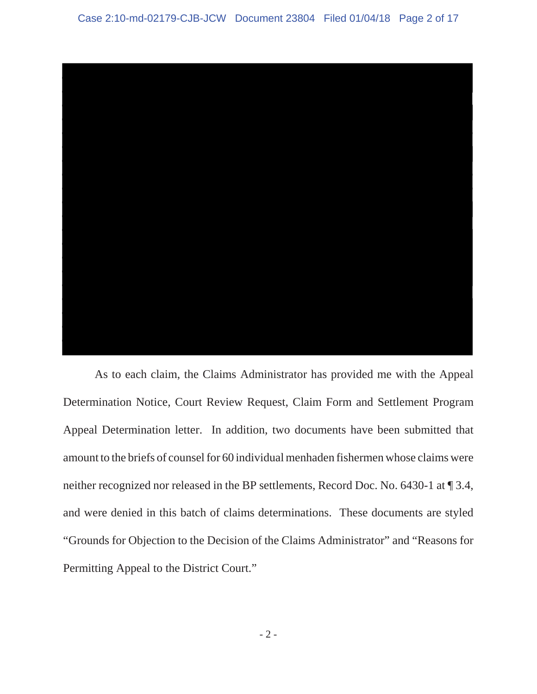

As to each claim, the Claims Administrator has provided me with the Appeal Determination Notice, Court Review Request, Claim Form and Settlement Program Appeal Determination letter. In addition, two documents have been submitted that amount to the briefs of counsel for 60 individual menhaden fishermen whose claims were neither recognized nor released in the BP settlements, Record Doc. No. 6430-1 at ¶ 3.4, and were denied in this batch of claims determinations. These documents are styled "Grounds for Objection to the Decision of the Claims Administrator" and "Reasons for Permitting Appeal to the District Court."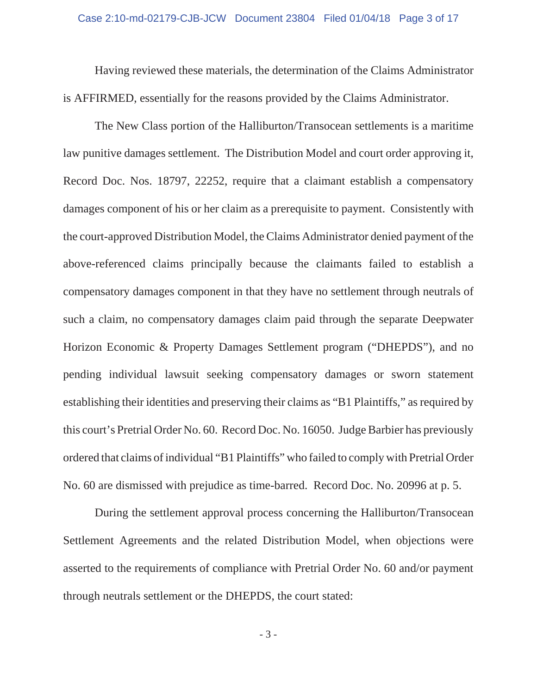Having reviewed these materials, the determination of the Claims Administrator is AFFIRMED, essentially for the reasons provided by the Claims Administrator.

The New Class portion of the Halliburton/Transocean settlements is a maritime law punitive damages settlement. The Distribution Model and court order approving it, Record Doc. Nos. 18797, 22252, require that a claimant establish a compensatory damages component of his or her claim as a prerequisite to payment. Consistently with the court-approved Distribution Model, the Claims Administrator denied payment of the above-referenced claims principally because the claimants failed to establish a compensatory damages component in that they have no settlement through neutrals of such a claim, no compensatory damages claim paid through the separate Deepwater Horizon Economic & Property Damages Settlement program ("DHEPDS"), and no pending individual lawsuit seeking compensatory damages or sworn statement establishing their identities and preserving their claims as "B1 Plaintiffs," as required by this court's Pretrial Order No. 60. Record Doc. No. 16050. Judge Barbier has previously ordered that claims of individual "B1 Plaintiffs" who failed to comply with Pretrial Order No. 60 are dismissed with prejudice as time-barred. Record Doc. No. 20996 at p. 5.

During the settlement approval process concerning the Halliburton/Transocean Settlement Agreements and the related Distribution Model, when objections were asserted to the requirements of compliance with Pretrial Order No. 60 and/or payment through neutrals settlement or the DHEPDS, the court stated: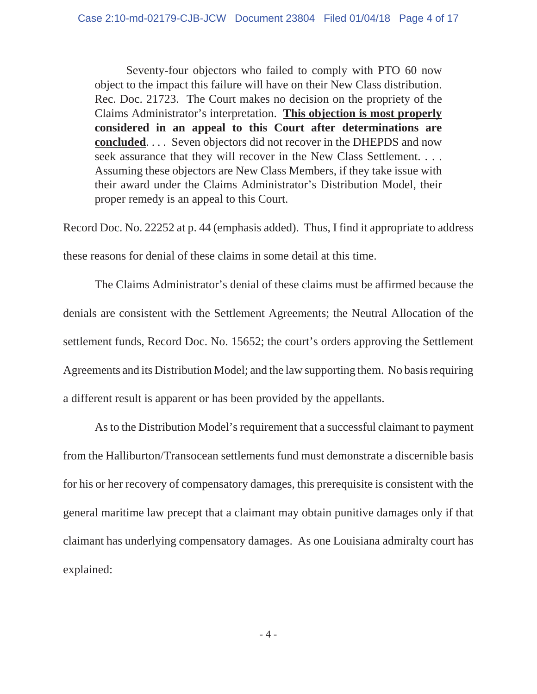Seventy-four objectors who failed to comply with PTO 60 now object to the impact this failure will have on their New Class distribution. Rec. Doc. 21723. The Court makes no decision on the propriety of the Claims Administrator's interpretation. **This objection is most properly considered in an appeal to this Court after determinations are concluded**. . . . Seven objectors did not recover in the DHEPDS and now seek assurance that they will recover in the New Class Settlement. . . . Assuming these objectors are New Class Members, if they take issue with their award under the Claims Administrator's Distribution Model, their proper remedy is an appeal to this Court.

Record Doc. No. 22252 at p. 44 (emphasis added). Thus, I find it appropriate to address these reasons for denial of these claims in some detail at this time.

The Claims Administrator's denial of these claims must be affirmed because the denials are consistent with the Settlement Agreements; the Neutral Allocation of the settlement funds, Record Doc. No. 15652; the court's orders approving the Settlement Agreements and its Distribution Model; and the law supporting them. No basis requiring a different result is apparent or has been provided by the appellants.

As to the Distribution Model's requirement that a successful claimant to payment from the Halliburton/Transocean settlements fund must demonstrate a discernible basis for his or her recovery of compensatory damages, this prerequisite is consistent with the general maritime law precept that a claimant may obtain punitive damages only if that claimant has underlying compensatory damages. As one Louisiana admiralty court has explained: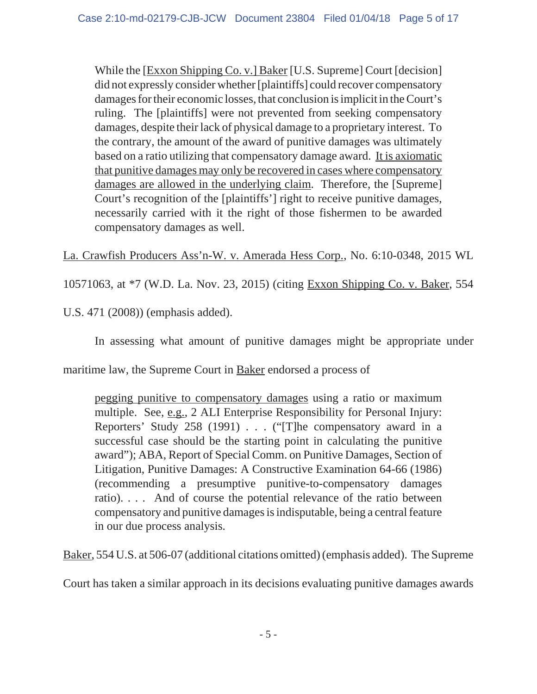While the [Exxon Shipping Co. v.] Baker [U.S. Supreme] Court [decision] did not expressly consider whether [plaintiffs] could recover compensatory damages for their economic losses, that conclusion is implicit in the Court's ruling. The [plaintiffs] were not prevented from seeking compensatory damages, despite their lack of physical damage to a proprietary interest. To the contrary, the amount of the award of punitive damages was ultimately based on a ratio utilizing that compensatory damage award. It is axiomatic that punitive damages may only be recovered in cases where compensatory damages are allowed in the underlying claim. Therefore, the [Supreme] Court's recognition of the [plaintiffs'] right to receive punitive damages, necessarily carried with it the right of those fishermen to be awarded compensatory damages as well.

La. Crawfish Producers Ass'n-W. v. Amerada Hess Corp., No. 6:10-0348, 2015 WL

10571063, at \*7 (W.D. La. Nov. 23, 2015) (citing Exxon Shipping Co. v. Baker, 554

U.S. 471 (2008)) (emphasis added).

In assessing what amount of punitive damages might be appropriate under

maritime law, the Supreme Court in **Baker** endorsed a process of

pegging punitive to compensatory damages using a ratio or maximum multiple. See, e.g., 2 ALI Enterprise Responsibility for Personal Injury: Reporters' Study 258 (1991) . . . ("[T]he compensatory award in a successful case should be the starting point in calculating the punitive award"); ABA, Report of Special Comm. on Punitive Damages, Section of Litigation, Punitive Damages: A Constructive Examination 64-66 (1986) (recommending a presumptive punitive-to-compensatory damages ratio). . . . And of course the potential relevance of the ratio between compensatory and punitive damages is indisputable, being a central feature in our due process analysis.

Baker, 554 U.S. at 506-07 (additional citations omitted) (emphasis added). The Supreme

Court has taken a similar approach in its decisions evaluating punitive damages awards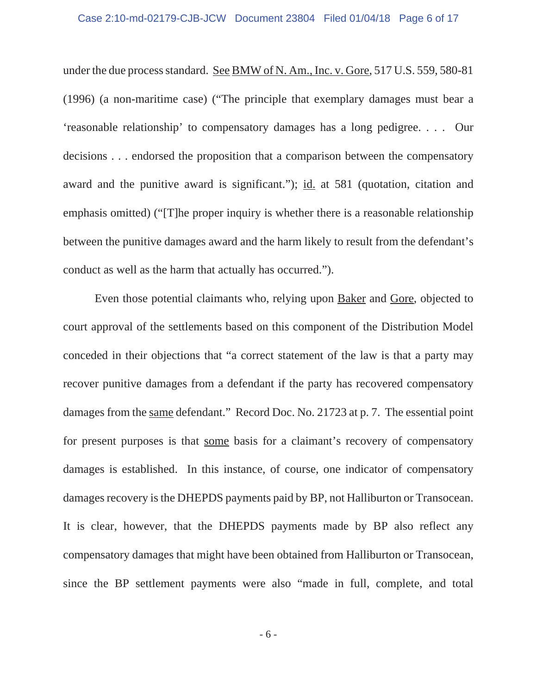## Case 2:10-md-02179-CJB-JCW Document 23804 Filed 01/04/18 Page 6 of 17

under the due process standard. See BMW of N. Am., Inc. v. Gore, 517 U.S. 559, 580-81 (1996) (a non-maritime case) ("The principle that exemplary damages must bear a 'reasonable relationship' to compensatory damages has a long pedigree. . . . Our decisions . . . endorsed the proposition that a comparison between the compensatory award and the punitive award is significant."); id. at 581 (quotation, citation and emphasis omitted) ("[T]he proper inquiry is whether there is a reasonable relationship between the punitive damages award and the harm likely to result from the defendant's conduct as well as the harm that actually has occurred.").

Even those potential claimants who, relying upon Baker and Gore, objected to court approval of the settlements based on this component of the Distribution Model conceded in their objections that "a correct statement of the law is that a party may recover punitive damages from a defendant if the party has recovered compensatory damages from the same defendant." Record Doc. No. 21723 at p. 7. The essential point for present purposes is that some basis for a claimant's recovery of compensatory damages is established. In this instance, of course, one indicator of compensatory damages recovery is the DHEPDS payments paid by BP, not Halliburton or Transocean. It is clear, however, that the DHEPDS payments made by BP also reflect any compensatory damages that might have been obtained from Halliburton or Transocean, since the BP settlement payments were also "made in full, complete, and total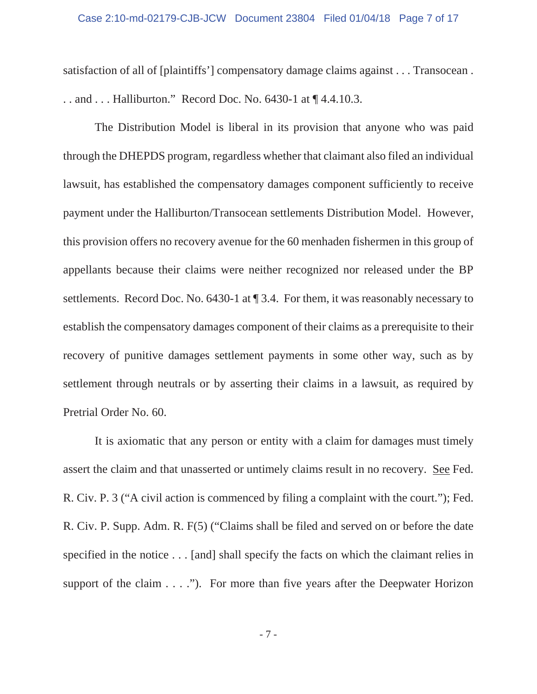satisfaction of all of [plaintiffs'] compensatory damage claims against . . . Transocean . . . and . . . Halliburton." Record Doc. No. 6430-1 at ¶ 4.4.10.3.

The Distribution Model is liberal in its provision that anyone who was paid through the DHEPDS program, regardless whether that claimant also filed an individual lawsuit, has established the compensatory damages component sufficiently to receive payment under the Halliburton/Transocean settlements Distribution Model. However, this provision offers no recovery avenue for the 60 menhaden fishermen in this group of appellants because their claims were neither recognized nor released under the BP settlements. Record Doc. No. 6430-1 at ¶ 3.4. For them, it was reasonably necessary to establish the compensatory damages component of their claims as a prerequisite to their recovery of punitive damages settlement payments in some other way, such as by settlement through neutrals or by asserting their claims in a lawsuit, as required by Pretrial Order No. 60.

 It is axiomatic that any person or entity with a claim for damages must timely assert the claim and that unasserted or untimely claims result in no recovery. See Fed. R. Civ. P. 3 ("A civil action is commenced by filing a complaint with the court."); Fed. R. Civ. P. Supp. Adm. R. F(5) ("Claims shall be filed and served on or before the date specified in the notice . . . [and] shall specify the facts on which the claimant relies in support of the claim  $\dots$ ."). For more than five years after the Deepwater Horizon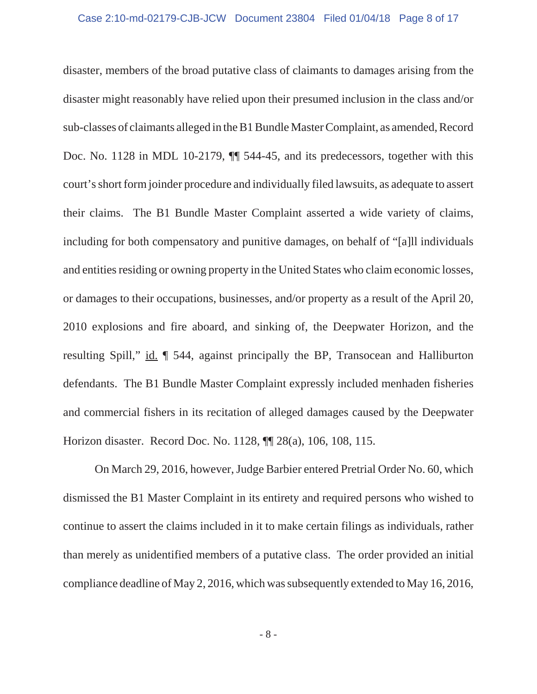disaster, members of the broad putative class of claimants to damages arising from the disaster might reasonably have relied upon their presumed inclusion in the class and/or sub-classes of claimants alleged in the B1 Bundle Master Complaint, as amended, Record Doc. No. 1128 in MDL 10-2179,  $\P$  544-45, and its predecessors, together with this court's short form joinder procedure and individually filed lawsuits, as adequate to assert their claims. The B1 Bundle Master Complaint asserted a wide variety of claims, including for both compensatory and punitive damages, on behalf of "[a]ll individuals and entities residing or owning property in the United States who claim economic losses, or damages to their occupations, businesses, and/or property as a result of the April 20, 2010 explosions and fire aboard, and sinking of, the Deepwater Horizon, and the resulting Spill," id.  $\parallel$  544, against principally the BP, Transocean and Halliburton defendants. The B1 Bundle Master Complaint expressly included menhaden fisheries and commercial fishers in its recitation of alleged damages caused by the Deepwater Horizon disaster. Record Doc. No. 1128, ¶¶ 28(a), 106, 108, 115.

On March 29, 2016, however, Judge Barbier entered Pretrial Order No. 60, which dismissed the B1 Master Complaint in its entirety and required persons who wished to continue to assert the claims included in it to make certain filings as individuals, rather than merely as unidentified members of a putative class. The order provided an initial compliance deadline of May 2, 2016, which was subsequently extended to May 16, 2016,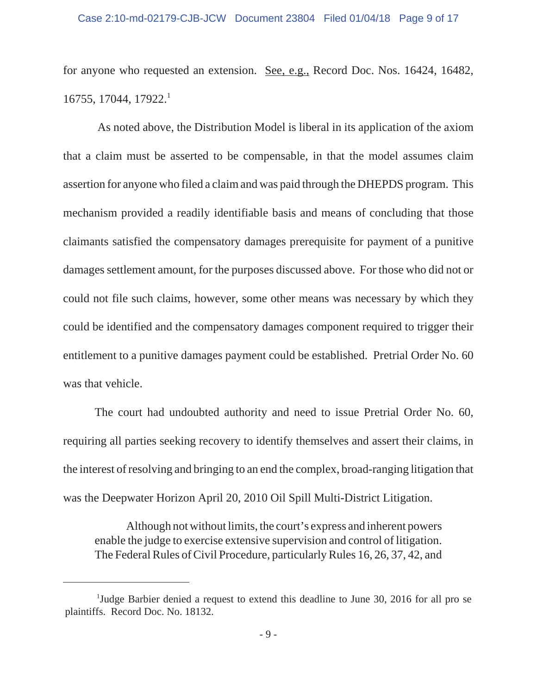## Case 2:10-md-02179-CJB-JCW Document 23804 Filed 01/04/18 Page 9 of 17

for anyone who requested an extension. See, e.g., Record Doc. Nos. 16424, 16482, 16755, 17044, 17922.

 As noted above, the Distribution Model is liberal in its application of the axiom that a claim must be asserted to be compensable, in that the model assumes claim assertion for anyone who filed a claim and was paid through the DHEPDS program. This mechanism provided a readily identifiable basis and means of concluding that those claimants satisfied the compensatory damages prerequisite for payment of a punitive damages settlement amount, for the purposes discussed above. For those who did not or could not file such claims, however, some other means was necessary by which they could be identified and the compensatory damages component required to trigger their entitlement to a punitive damages payment could be established. Pretrial Order No. 60 was that vehicle.

The court had undoubted authority and need to issue Pretrial Order No. 60, requiring all parties seeking recovery to identify themselves and assert their claims, in the interest of resolving and bringing to an end the complex, broad-ranging litigation that was the Deepwater Horizon April 20, 2010 Oil Spill Multi-District Litigation.

Although not without limits, the court's express and inherent powers enable the judge to exercise extensive supervision and control of litigation. The Federal Rules of Civil Procedure, particularly Rules 16, 26, 37, 42, and

<sup>&</sup>lt;sup>1</sup>Judge Barbier denied a request to extend this deadline to June 30, 2016 for all pro se plaintiffs. Record Doc. No. 18132.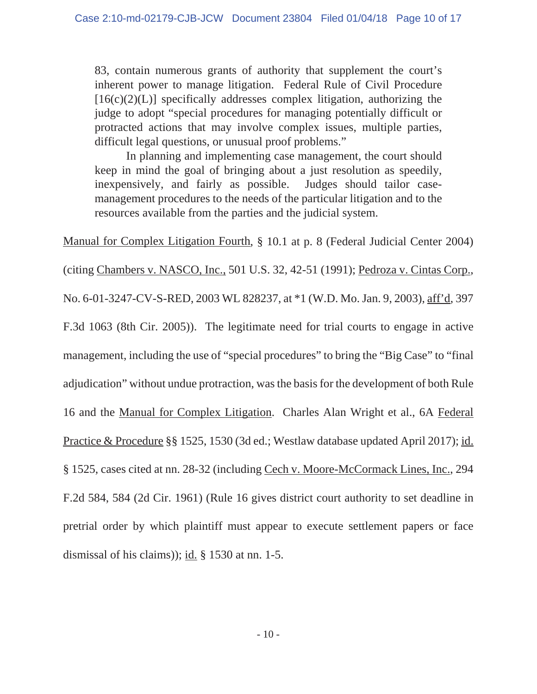83, contain numerous grants of authority that supplement the court's inherent power to manage litigation. Federal Rule of Civil Procedure  $[16(c)(2)(L)]$  specifically addresses complex litigation, authorizing the judge to adopt "special procedures for managing potentially difficult or protracted actions that may involve complex issues, multiple parties, difficult legal questions, or unusual proof problems."

In planning and implementing case management, the court should keep in mind the goal of bringing about a just resolution as speedily, inexpensively, and fairly as possible. Judges should tailor casemanagement procedures to the needs of the particular litigation and to the resources available from the parties and the judicial system.

Manual for Complex Litigation Fourth, § 10.1 at p. 8 (Federal Judicial Center 2004)

(citing Chambers v. NASCO, Inc., 501 U.S. 32, 42-51 (1991); Pedroza v. Cintas Corp.,

No. 6-01-3247-CV-S-RED, 2003 WL 828237, at \*1 (W.D. Mo. Jan. 9, 2003), aff'd, 397

F.3d 1063 (8th Cir. 2005)). The legitimate need for trial courts to engage in active

management, including the use of "special procedures" to bring the "Big Case" to "final

adjudication" without undue protraction, was the basis for the development of both Rule

16 and the Manual for Complex Litigation. Charles Alan Wright et al., 6A Federal

Practice & Procedure §§ 1525, 1530 (3d ed.; Westlaw database updated April 2017); id.

§ 1525, cases cited at nn. 28-32 (including Cech v. Moore-McCormack Lines, Inc., 294

F.2d 584, 584 (2d Cir. 1961) (Rule 16 gives district court authority to set deadline in

pretrial order by which plaintiff must appear to execute settlement papers or face dismissal of his claims)); id. § 1530 at nn. 1-5.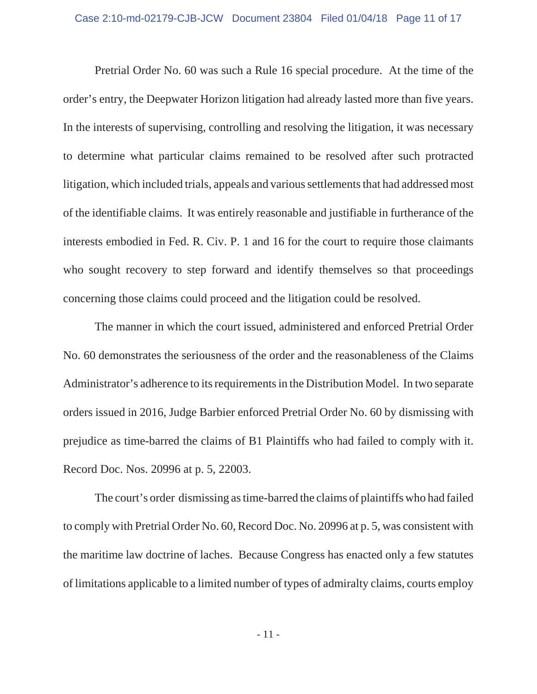Pretrial Order No. 60 was such a Rule 16 special procedure. At the time of the order's entry, the Deepwater Horizon litigation had already lasted more than five years. In the interests of supervising, controlling and resolving the litigation, it was necessary to determine what particular claims remained to be resolved after such protracted litigation, which included trials, appeals and various settlements that had addressed most of the identifiable claims. It was entirely reasonable and justifiable in furtherance of the interests embodied in Fed. R. Civ. P. 1 and 16 for the court to require those claimants who sought recovery to step forward and identify themselves so that proceedings concerning those claims could proceed and the litigation could be resolved.

The manner in which the court issued, administered and enforced Pretrial Order No. 60 demonstrates the seriousness of the order and the reasonableness of the Claims Administrator's adherence to its requirements in the Distribution Model. In two separate orders issued in 2016, Judge Barbier enforced Pretrial Order No. 60 by dismissing with prejudice as time-barred the claims of B1 Plaintiffs who had failed to comply with it. Record Doc. Nos. 20996 at p. 5, 22003.

The court's order dismissing as time-barred the claims of plaintiffs who had failed to comply with Pretrial Order No. 60, Record Doc. No. 20996 at p. 5, was consistent with the maritime law doctrine of laches. Because Congress has enacted only a few statutes of limitations applicable to a limited number of types of admiralty claims, courts employ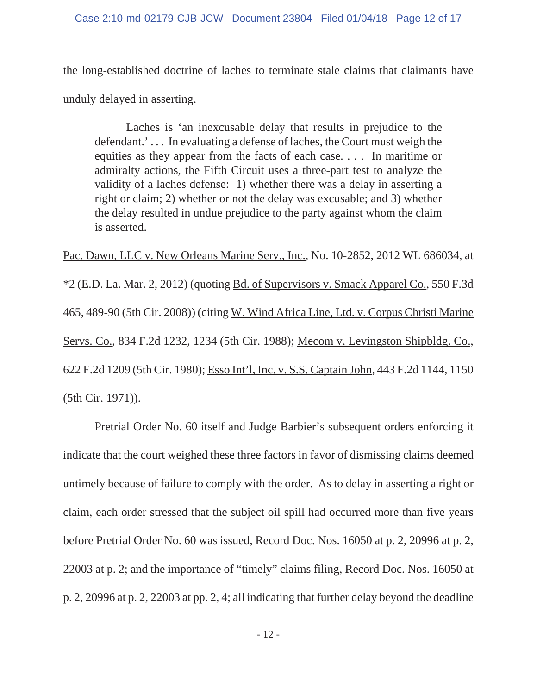the long-established doctrine of laches to terminate stale claims that claimants have unduly delayed in asserting.

Laches is 'an inexcusable delay that results in prejudice to the defendant.' . . . In evaluating a defense of laches, the Court must weigh the equities as they appear from the facts of each case. . . . In maritime or admiralty actions, the Fifth Circuit uses a three-part test to analyze the validity of a laches defense: 1) whether there was a delay in asserting a right or claim; 2) whether or not the delay was excusable; and 3) whether the delay resulted in undue prejudice to the party against whom the claim is asserted.

Pac. Dawn, LLC v. New Orleans Marine Serv., Inc., No. 10-2852, 2012 WL 686034, at \*2 (E.D. La. Mar. 2, 2012) (quoting Bd. of Supervisors v. Smack Apparel Co., 550 F.3d 465, 489-90 (5th Cir. 2008)) (citing W. Wind Africa Line, Ltd. v. Corpus Christi Marine Servs. Co., 834 F.2d 1232, 1234 (5th Cir. 1988); Mecom v. Levingston Shipbldg. Co., 622 F.2d 1209 (5th Cir. 1980); Esso Int'l, Inc. v. S.S. Captain John, 443 F.2d 1144, 1150 (5th Cir. 1971)).

Pretrial Order No. 60 itself and Judge Barbier's subsequent orders enforcing it indicate that the court weighed these three factors in favor of dismissing claims deemed untimely because of failure to comply with the order. As to delay in asserting a right or claim, each order stressed that the subject oil spill had occurred more than five years before Pretrial Order No. 60 was issued, Record Doc. Nos. 16050 at p. 2, 20996 at p. 2, 22003 at p. 2; and the importance of "timely" claims filing, Record Doc. Nos. 16050 at p. 2, 20996 at p. 2, 22003 at pp. 2, 4; all indicating that further delay beyond the deadline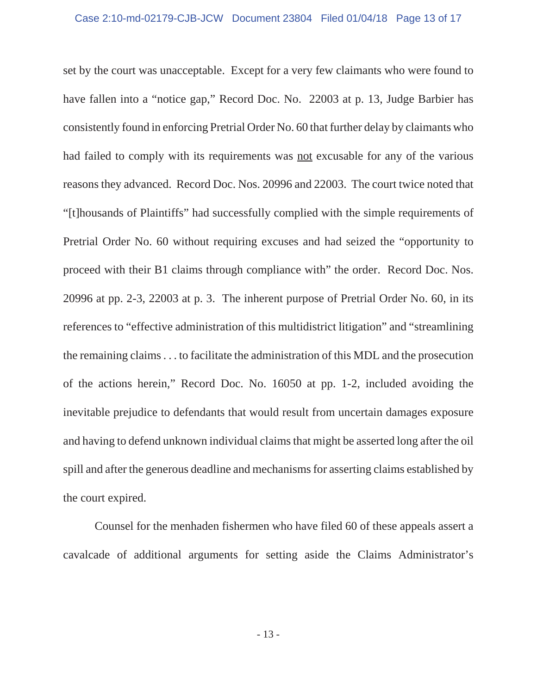set by the court was unacceptable. Except for a very few claimants who were found to have fallen into a "notice gap," Record Doc. No. 22003 at p. 13, Judge Barbier has consistently found in enforcing Pretrial Order No. 60 that further delay by claimants who had failed to comply with its requirements was not excusable for any of the various reasons they advanced. Record Doc. Nos. 20996 and 22003. The court twice noted that "[t]housands of Plaintiffs" had successfully complied with the simple requirements of Pretrial Order No. 60 without requiring excuses and had seized the "opportunity to proceed with their B1 claims through compliance with" the order. Record Doc. Nos. 20996 at pp. 2-3, 22003 at p. 3. The inherent purpose of Pretrial Order No. 60, in its references to "effective administration of this multidistrict litigation" and "streamlining the remaining claims . . . to facilitate the administration of this MDL and the prosecution of the actions herein," Record Doc. No. 16050 at pp. 1-2, included avoiding the inevitable prejudice to defendants that would result from uncertain damages exposure and having to defend unknown individual claims that might be asserted long after the oil spill and after the generous deadline and mechanisms for asserting claims established by the court expired.

Counsel for the menhaden fishermen who have filed 60 of these appeals assert a cavalcade of additional arguments for setting aside the Claims Administrator's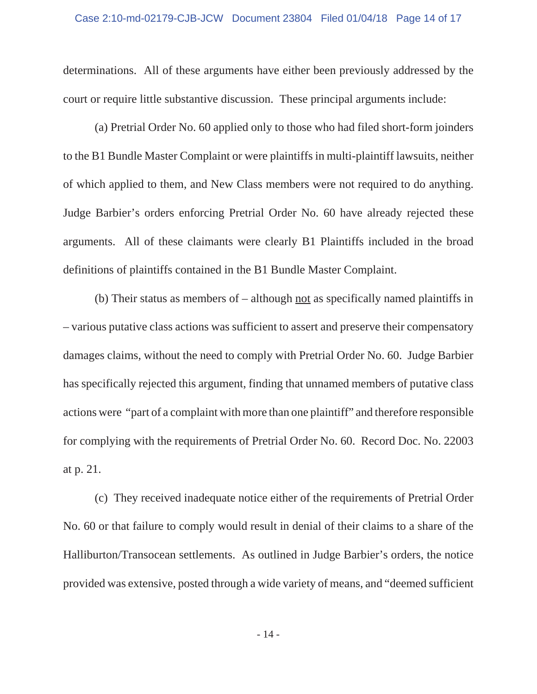determinations. All of these arguments have either been previously addressed by the court or require little substantive discussion. These principal arguments include:

(a) Pretrial Order No. 60 applied only to those who had filed short-form joinders to the B1 Bundle Master Complaint or were plaintiffs in multi-plaintiff lawsuits, neither of which applied to them, and New Class members were not required to do anything. Judge Barbier's orders enforcing Pretrial Order No. 60 have already rejected these arguments. All of these claimants were clearly B1 Plaintiffs included in the broad definitions of plaintiffs contained in the B1 Bundle Master Complaint.

(b) Their status as members of  $-$  although <u>not</u> as specifically named plaintiffs in – various putative class actions was sufficient to assert and preserve their compensatory damages claims, without the need to comply with Pretrial Order No. 60. Judge Barbier has specifically rejected this argument, finding that unnamed members of putative class actions were "part of a complaint with more than one plaintiff" and therefore responsible for complying with the requirements of Pretrial Order No. 60. Record Doc. No. 22003 at p. 21.

(c) They received inadequate notice either of the requirements of Pretrial Order No. 60 or that failure to comply would result in denial of their claims to a share of the Halliburton/Transocean settlements. As outlined in Judge Barbier's orders, the notice provided was extensive, posted through a wide variety of means, and "deemed sufficient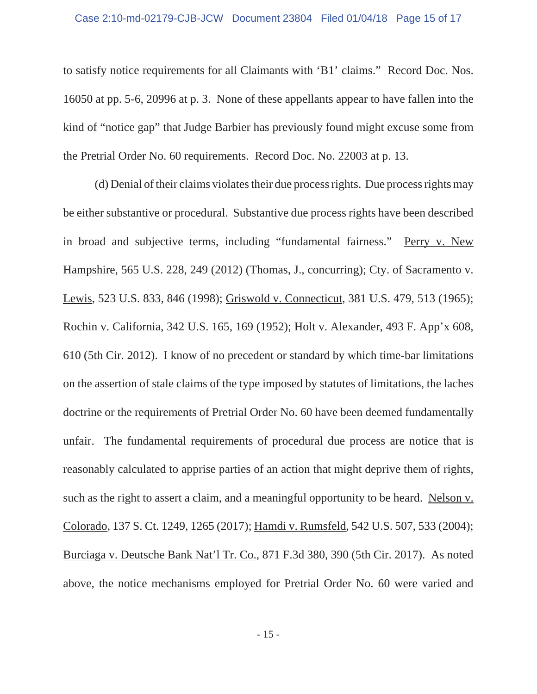to satisfy notice requirements for all Claimants with 'B1' claims." Record Doc. Nos. 16050 at pp. 5-6, 20996 at p. 3. None of these appellants appear to have fallen into the kind of "notice gap" that Judge Barbier has previously found might excuse some from the Pretrial Order No. 60 requirements. Record Doc. No. 22003 at p. 13.

(d) Denial of their claims violates their due process rights. Due process rights may be either substantive or procedural. Substantive due process rights have been described in broad and subjective terms, including "fundamental fairness." Perry v. New Hampshire, 565 U.S. 228, 249 (2012) (Thomas, J., concurring); Cty. of Sacramento v. Lewis, 523 U.S. 833, 846 (1998); Griswold v. Connecticut, 381 U.S. 479, 513 (1965); Rochin v. California, 342 U.S. 165, 169 (1952); Holt v. Alexander, 493 F. App'x 608, 610 (5th Cir. 2012). I know of no precedent or standard by which time-bar limitations on the assertion of stale claims of the type imposed by statutes of limitations, the laches doctrine or the requirements of Pretrial Order No. 60 have been deemed fundamentally unfair. The fundamental requirements of procedural due process are notice that is reasonably calculated to apprise parties of an action that might deprive them of rights, such as the right to assert a claim, and a meaningful opportunity to be heard. Nelson v. Colorado, 137 S. Ct. 1249, 1265 (2017); Hamdi v. Rumsfeld, 542 U.S. 507, 533 (2004); Burciaga v. Deutsche Bank Nat'l Tr. Co., 871 F.3d 380, 390 (5th Cir. 2017). As noted above, the notice mechanisms employed for Pretrial Order No. 60 were varied and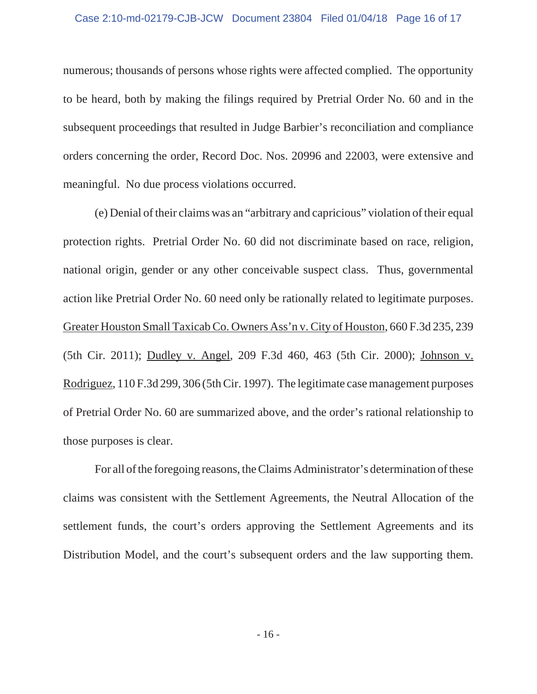numerous; thousands of persons whose rights were affected complied. The opportunity to be heard, both by making the filings required by Pretrial Order No. 60 and in the subsequent proceedings that resulted in Judge Barbier's reconciliation and compliance orders concerning the order, Record Doc. Nos. 20996 and 22003, were extensive and meaningful. No due process violations occurred.

(e) Denial of their claims was an "arbitrary and capricious" violation of their equal protection rights. Pretrial Order No. 60 did not discriminate based on race, religion, national origin, gender or any other conceivable suspect class. Thus, governmental action like Pretrial Order No. 60 need only be rationally related to legitimate purposes. Greater Houston Small Taxicab Co. Owners Ass'n v. City of Houston, 660 F.3d 235, 239 (5th Cir. 2011); Dudley v. Angel, 209 F.3d 460, 463 (5th Cir. 2000); Johnson v. Rodriguez, 110 F.3d 299, 306 (5th Cir. 1997). The legitimate case management purposes of Pretrial Order No. 60 are summarized above, and the order's rational relationship to those purposes is clear.

For all of the foregoing reasons, the Claims Administrator's determination of these claims was consistent with the Settlement Agreements, the Neutral Allocation of the settlement funds, the court's orders approving the Settlement Agreements and its Distribution Model, and the court's subsequent orders and the law supporting them.